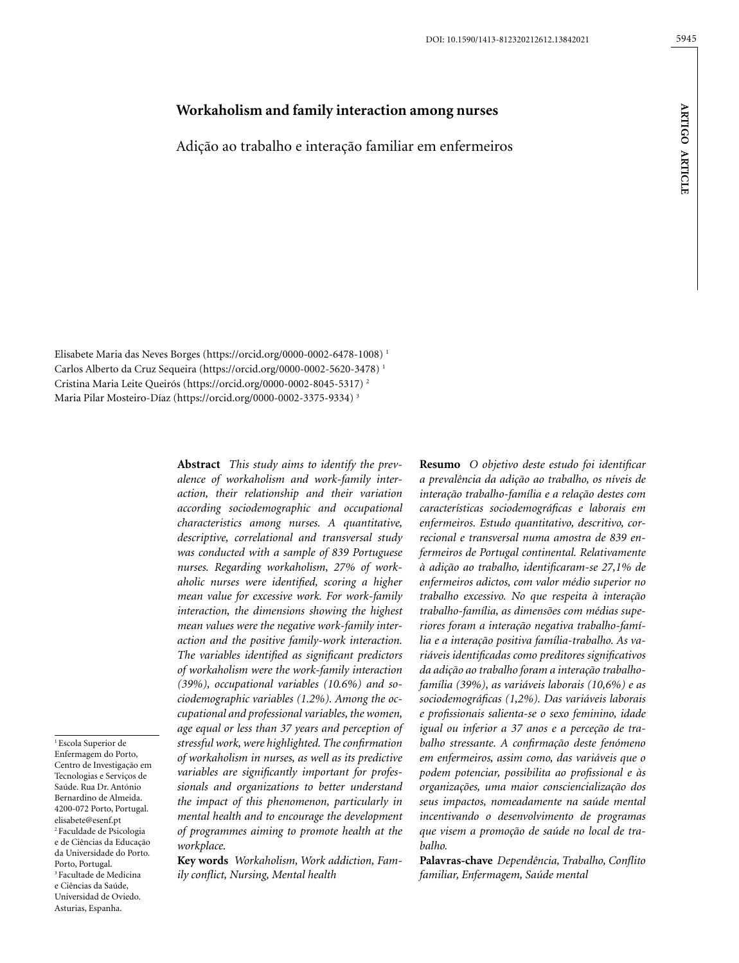# **Workaholism and family interaction among nurses**

Adição ao trabalho e interação familiar em enfermeiros

5945

Elisabete Maria das Neves Borges ([https://orcid.org/0000-0002-6478-1008\)](https://orcid.org/0000-0002-6478-1008) 1 Carlos Alberto da Cruz Sequeira [\(https://orcid.org/0000-0002-5620-3478](https://orcid.org/0000-0002-5620-3478)) 1 Cristina Maria Leite Queirós ([https://orcid.org/0000-0002-8045-5317\)](https://orcid.org/0000-0002-8045-5317) 2 Maria Pilar Mosteiro-Díaz ([https://orcid.org/0000-0002-3375-9334\)](https://orcid.org/0000-0002-3375-9334) 3

> **Abstract** *This study aims to identify the prevalence of workaholism and work-family interaction, their relationship and their variation according sociodemographic and occupational characteristics among nurses. A quantitative, descriptive, correlational and transversal study was conducted with a sample of 839 Portuguese nurses. Regarding workaholism, 27% of workaholic nurses were identified, scoring a higher mean value for excessive work. For work-family interaction, the dimensions showing the highest mean values were the negative work-family interaction and the positive family-work interaction. The variables identified as significant predictors of workaholism were the work-family interaction (39%), occupational variables (10.6%) and sociodemographic variables (1.2%). Among the occupational and professional variables, the women, age equal or less than 37 years and perception of stressful work, were highlighted. The confirmation of workaholism in nurses, as well as its predictive variables are significantly important for professionals and organizations to better understand the impact of this phenomenon, particularly in mental health and to encourage the development of programmes aiming to promote health at the workplace.*

Centro de Investigação em Tecnologias e Serviços de Saúde. Rua Dr. António Bernardino de Almeida. 4200-072 Porto, Portugal. [elisabete@esenf.pt](mailto:elisabete@esenf.pt) 2 Faculdade de Psicologia e de Ciências da Educação da Universidade do Porto. Porto, Portugal. 3 Facultade de Medicina e Ciências da Saúde, Universidad de Oviedo. Asturias, Espanha.

<sup>1</sup> Escola Superior de Enfermagem do Porto,

> **Key words** *Workaholism, Work addiction, Family conflict, Nursing, Mental health*

**Resumo** *O objetivo deste estudo foi identificar a prevalência da adição ao trabalho, os níveis de interação trabalho-família e a relação destes com características sociodemográficas e laborais em enfermeiros. Estudo quantitativo, descritivo, correcional e transversal numa amostra de 839 enfermeiros de Portugal continental. Relativamente à adição ao trabalho, identificaram-se 27,1% de enfermeiros adictos, com valor médio superior no trabalho excessivo. No que respeita à interação trabalho-família, as dimensões com médias superiores foram a interação negativa trabalho-família e a interação positiva família-trabalho. As variáveis identificadas como preditores significativos da adição ao trabalho foram a interação trabalhofamília (39%), as variáveis laborais (10,6%) e as sociodemográficas (1,2%). Das variáveis laborais e profissionais salienta-se o sexo feminino, idade igual ou inferior a 37 anos e a perceção de trabalho stressante. A confirmação deste fenómeno em enfermeiros, assim como, das variáveis que o podem potenciar, possibilita ao profissional e às organizações, uma maior consciencialização dos seus impactos, nomeadamente na saúde mental incentivando o desenvolvimento de programas que visem a promoção de saúde no local de trabalho.*

**Palavras-chave** *Dependência, Trabalho, Conflito familiar, Enfermagem, Saúde mental*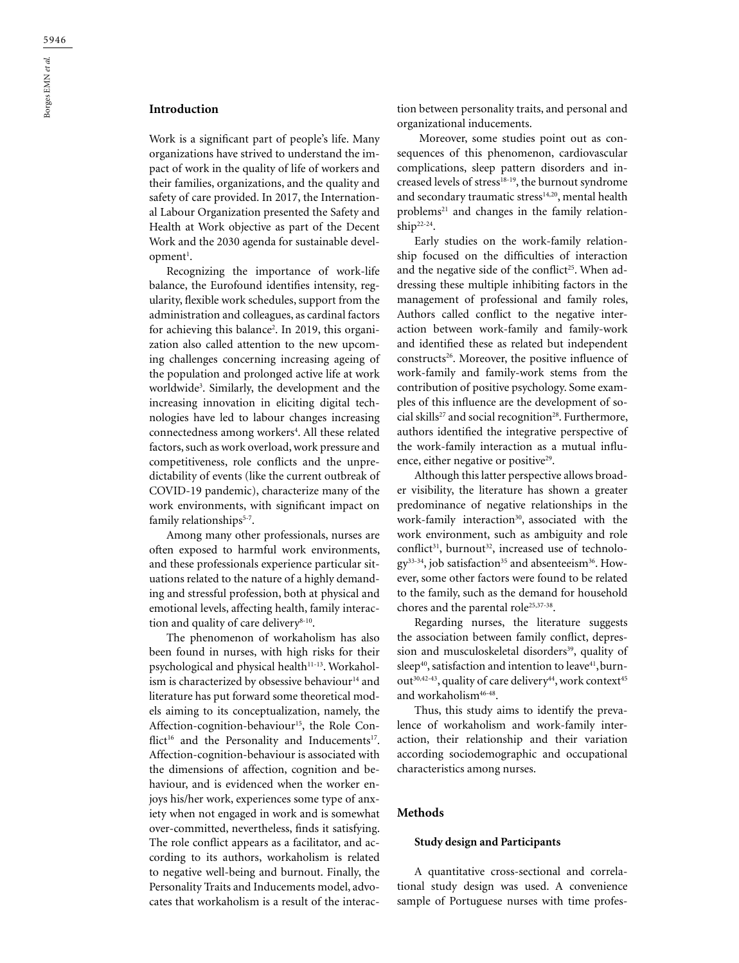# **Introduction**

Work is a significant part of people's life. Many organizations have strived to understand the impact of work in the quality of life of workers and their families, organizations, and the quality and safety of care provided. In 2017, the International Labour Organization presented the Safety and Health at Work objective as part of the Decent Work and the 2030 agenda for sustainable devel $opment<sup>1</sup>$ .

Recognizing the importance of work-life balance, the Eurofound identifies intensity, regularity, flexible work schedules, support from the administration and colleagues, as cardinal factors for achieving this balance<sup>2</sup>. In 2019, this organization also called attention to the new upcoming challenges concerning increasing ageing of the population and prolonged active life at work worldwide3 . Similarly, the development and the increasing innovation in eliciting digital technologies have led to labour changes increasing connectedness among workers<sup>4</sup>. All these related factors, such as work overload, work pressure and competitiveness, role conflicts and the unpredictability of events (like the current outbreak of COVID-19 pandemic), characterize many of the work environments, with significant impact on family relationships $5-7$ .

Among many other professionals, nurses are often exposed to harmful work environments, and these professionals experience particular situations related to the nature of a highly demanding and stressful profession, both at physical and emotional levels, affecting health, family interaction and quality of care delivery $8-10$ .

The phenomenon of workaholism has also been found in nurses, with high risks for their psychological and physical health<sup>11-13</sup>. Workaholism is characterized by obsessive behaviour<sup>14</sup> and literature has put forward some theoretical models aiming to its conceptualization, namely, the Affection-cognition-behaviour<sup>15</sup>, the Role Conflict<sup>16</sup> and the Personality and Inducements<sup>17</sup>. Affection-cognition-behaviour is associated with the dimensions of affection, cognition and behaviour, and is evidenced when the worker enjoys his/her work, experiences some type of anxiety when not engaged in work and is somewhat over-committed, nevertheless, finds it satisfying. The role conflict appears as a facilitator, and according to its authors, workaholism is related to negative well-being and burnout. Finally, the Personality Traits and Inducements model, advocates that workaholism is a result of the interaction between personality traits, and personal and organizational inducements.

 Moreover, some studies point out as consequences of this phenomenon, cardiovascular complications, sleep pattern disorders and increased levels of stress<sup>18-19</sup>, the burnout syndrome and secondary traumatic stress<sup>14,20</sup>, mental health problems21 and changes in the family relationship<sup>22-24</sup>.

Early studies on the work-family relationship focused on the difficulties of interaction and the negative side of the conflict<sup>25</sup>. When addressing these multiple inhibiting factors in the management of professional and family roles, Authors called conflict to the negative interaction between work-family and family-work and identified these as related but independent constructs26. Moreover, the positive influence of work-family and family-work stems from the contribution of positive psychology. Some examples of this influence are the development of social skills<sup>27</sup> and social recognition<sup>28</sup>. Furthermore, authors identified the integrative perspective of the work-family interaction as a mutual influence, either negative or positive<sup>29</sup>.

Although this latter perspective allows broader visibility, the literature has shown a greater predominance of negative relationships in the work-family interaction<sup>30</sup>, associated with the work environment, such as ambiguity and role conflict<sup>31</sup>, burnout<sup>32</sup>, increased use of technolo $gy^{33-34}$ , job satisfaction<sup>35</sup> and absenteeism<sup>36</sup>. However, some other factors were found to be related to the family, such as the demand for household chores and the parental role<sup>25,37-38</sup>.

Regarding nurses, the literature suggests the association between family conflict, depression and musculoskeletal disorders<sup>39</sup>, quality of sleep<sup>40</sup>, satisfaction and intention to leave<sup>41</sup>, burnout<sup>30,42-43</sup>, quality of care delivery<sup>44</sup>, work context<sup>45</sup> and workaholism<sup>46-48</sup>.

Thus, this study aims to identify the prevalence of workaholism and work-family interaction, their relationship and their variation according sociodemographic and occupational characteristics among nurses.

#### **Methods**

#### **Study design and Participants**

A quantitative cross-sectional and correlational study design was used. A convenience sample of Portuguese nurses with time profes-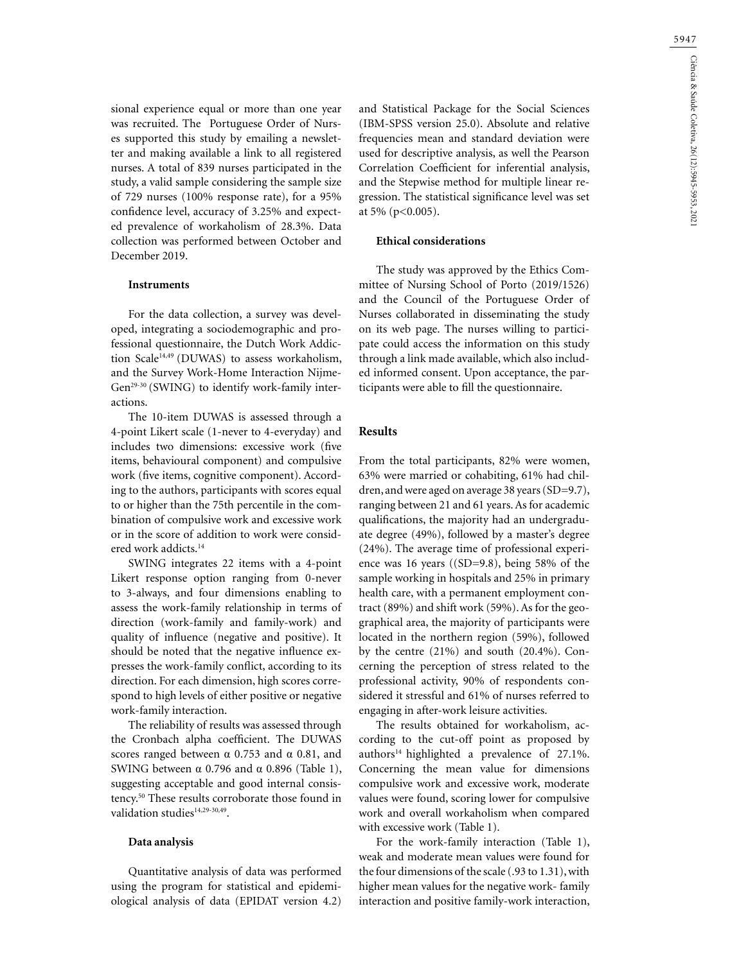5947

sional experience equal or more than one year was recruited. The Portuguese Order of Nurses supported this study by emailing a newsletter and making available a link to all registered nurses. A total of 839 nurses participated in the study, a valid sample considering the sample size of 729 nurses (100% response rate), for a 95% confidence level, accuracy of 3.25% and expected prevalence of workaholism of 28.3%. Data collection was performed between October and December 2019.

#### **Instruments**

For the data collection, a survey was developed, integrating a sociodemographic and professional questionnaire, the Dutch Work Addiction Scale<sup>14,49</sup> (DUWAS) to assess workaholism, and the Survey Work-Home Interaction Nijme-Gen<sup>29-30</sup> (SWING) to identify work-family interactions.

The 10-item DUWAS is assessed through a 4-point Likert scale (1-never to 4-everyday) and includes two dimensions: excessive work (five items, behavioural component) and compulsive work (five items, cognitive component). According to the authors, participants with scores equal to or higher than the 75th percentile in the combination of compulsive work and excessive work or in the score of addition to work were considered work addicts.14

SWING integrates 22 items with a 4-point Likert response option ranging from 0-never to 3-always, and four dimensions enabling to assess the work-family relationship in terms of direction (work-family and family-work) and quality of influence (negative and positive). It should be noted that the negative influence expresses the work-family conflict, according to its direction. For each dimension, high scores correspond to high levels of either positive or negative work-family interaction.

The reliability of results was assessed through the Cronbach alpha coefficient. The DUWAS scores ranged between  $\alpha$  0.753 and  $\alpha$  0.81, and SWING between  $α$  0.796 and  $α$  0.896 (Table 1), suggesting acceptable and good internal consistency.50 These results corroborate those found in validation studies<sup>14,29-30,49</sup>.

### **Data analysis**

Quantitative analysis of data was performed using the program for statistical and epidemiological analysis of data (EPIDAT version 4.2)

and Statistical Package for the Social Sciences (IBM-SPSS version 25.0). Absolute and relative frequencies mean and standard deviation were used for descriptive analysis, as well the Pearson Correlation Coefficient for inferential analysis, and the Stepwise method for multiple linear regression. The statistical significance level was set at 5% (p<0.005).

#### **Ethical considerations**

The study was approved by the Ethics Committee of Nursing School of Porto (2019/1526) and the Council of the Portuguese Order of Nurses collaborated in disseminating the study on its web page. The nurses willing to participate could access the information on this study through a link made available, which also included informed consent. Upon acceptance, the participants were able to fill the questionnaire.

### **Results**

From the total participants, 82% were women, 63% were married or cohabiting, 61% had children, and were aged on average 38 years (SD=9.7), ranging between 21 and 61 years. As for academic qualifications, the majority had an undergraduate degree (49%), followed by a master's degree (24%). The average time of professional experience was 16 years ((SD=9.8), being 58% of the sample working in hospitals and 25% in primary health care, with a permanent employment contract (89%) and shift work (59%). As for the geographical area, the majority of participants were located in the northern region (59%), followed by the centre (21%) and south (20.4%). Concerning the perception of stress related to the professional activity, 90% of respondents considered it stressful and 61% of nurses referred to engaging in after-work leisure activities.

The results obtained for workaholism, according to the cut-off point as proposed by authors<sup>14</sup> highlighted a prevalence of  $27.1\%$ . Concerning the mean value for dimensions compulsive work and excessive work, moderate values were found, scoring lower for compulsive work and overall workaholism when compared with excessive work (Table 1).

For the work-family interaction (Table 1), weak and moderate mean values were found for the four dimensions of the scale (.93 to 1.31), with higher mean values for the negative work- family interaction and positive family-work interaction,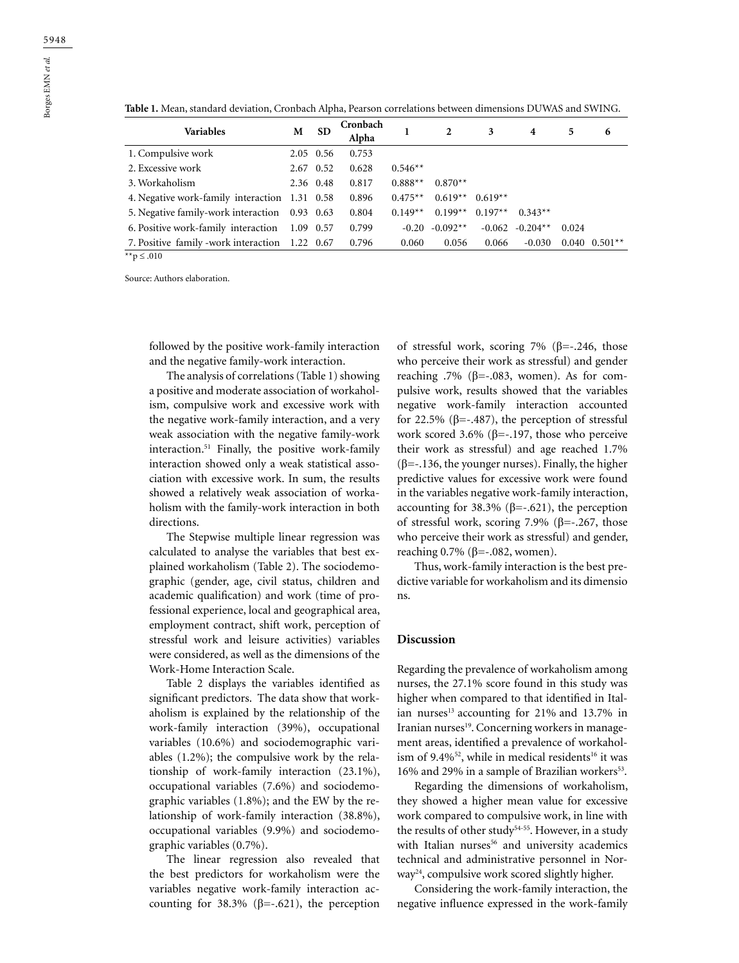**Variables <sup>M</sup> SD Cronbach Alpha <sup>1</sup> <sup>2</sup> <sup>3</sup> <sup>4</sup> <sup>5</sup> <sup>6</sup>** 1. Compulsive work 2.05 0.56 0.753 2. Excessive work 2.67 0.52 0.628 0.546<sup>\*\*</sup> 3. Workaholism 2.36 0.48 0.817 0.888\*\* 0.870\*\* 4. Negative work-family interaction 1.31 0.58 0.896 0.475\*\* 0.619\*\* 0.619\*\* 5. Negative family-work interaction 0.93 0.63 0.804 0.149\*\* 0.199\*\* 0.197\*\* 0.343\*\* 6. Positive work-family interaction 1.09 0.57 0.799 -0.20 -0.092\*\* -0.062 -0.204\*\* 0.024 7. Positive family -work interaction 1.22 0.67 0.796 0.060 0.056 0.066 -0.030 0.040 0.501\*\*

**Table 1.** Mean, standard deviation, Cronbach Alpha, Pearson correlations between dimensions DUWAS and SWING.

\*\*p ≤ .010

Source: Authors elaboration.

followed by the positive work-family interaction and the negative family-work interaction.

The analysis of correlations (Table 1) showing a positive and moderate association of workaholism, compulsive work and excessive work with the negative work-family interaction, and a very weak association with the negative family-work interaction.51 Finally, the positive work-family interaction showed only a weak statistical association with excessive work. In sum, the results showed a relatively weak association of workaholism with the family-work interaction in both directions.

The Stepwise multiple linear regression was calculated to analyse the variables that best explained workaholism (Table 2). The sociodemographic (gender, age, civil status, children and academic qualification) and work (time of professional experience, local and geographical area, employment contract, shift work, perception of stressful work and leisure activities) variables were considered, as well as the dimensions of the Work-Home Interaction Scale.

Table 2 displays the variables identified as significant predictors. The data show that workaholism is explained by the relationship of the work-family interaction (39%), occupational variables (10.6%) and sociodemographic variables (1.2%); the compulsive work by the relationship of work-family interaction (23.1%), occupational variables (7.6%) and sociodemographic variables (1.8%); and the EW by the relationship of work-family interaction (38.8%), occupational variables (9.9%) and sociodemographic variables (0.7%).

The linear regression also revealed that the best predictors for workaholism were the variables negative work-family interaction accounting for 38.3% ( $\beta$ =-.621), the perception

of stressful work, scoring 7% ( $\beta$ =-.246, those who perceive their work as stressful) and gender reaching .7% (β=-.083, women). As for compulsive work, results showed that the variables negative work-family interaction accounted for 22.5% ( $\beta$ =-.487), the perception of stressful work scored 3.6% ( $\beta$ =-.197, those who perceive their work as stressful) and age reached 1.7% ( $\beta$ =-.136, the younger nurses). Finally, the higher predictive values for excessive work were found in the variables negative work-family interaction, accounting for 38.3% ( $β = -0.621$ ), the perception of stressful work, scoring 7.9% ( $\beta$ =-.267, those who perceive their work as stressful) and gender, reaching  $0.7%$  ( $β = -0.082$ , women).

Thus, work-family interaction is the best predictive variable for workaholism and its dimensio ns.

#### **Discussion**

Regarding the prevalence of workaholism among nurses, the 27.1% score found in this study was higher when compared to that identified in Italian nurses $^{13}$  accounting for 21% and 13.7% in Iranian nurses<sup>19</sup>. Concerning workers in management areas, identified a prevalence of workaholism of 9.4% $52$ , while in medical residents<sup>16</sup> it was 16% and 29% in a sample of Brazilian workers<sup>53</sup>.

Regarding the dimensions of workaholism, they showed a higher mean value for excessive work compared to compulsive work, in line with the results of other study<sup>54-55</sup>. However, in a study with Italian nurses<sup>56</sup> and university academics technical and administrative personnel in Norway24, compulsive work scored slightly higher.

Considering the work-family interaction, the negative influence expressed in the work-family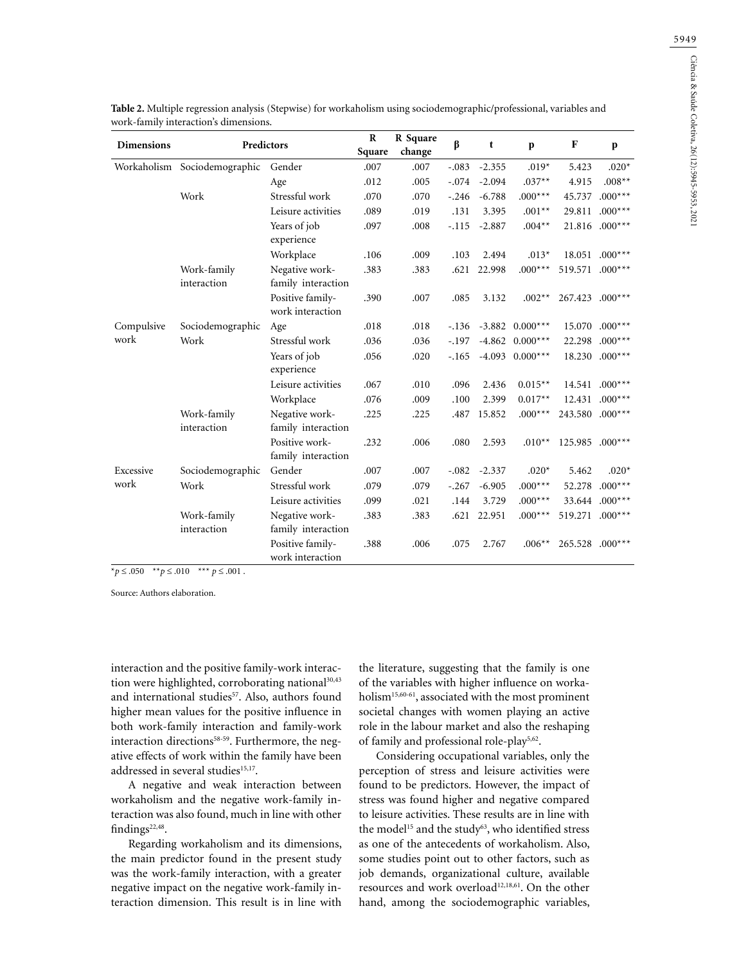| <b>Dimensions</b> | Predictors                   |                                      | $\mathbf R$<br>Square | R Square<br>change | $\beta$ | t        | $\mathbf{p}$      | F       | $\mathbf{p}$ |
|-------------------|------------------------------|--------------------------------------|-----------------------|--------------------|---------|----------|-------------------|---------|--------------|
|                   | Workaholism Sociodemographic | Gender                               | .007                  | .007               | $-.083$ | $-2.355$ | $.019*$           | 5.423   | $.020*$      |
|                   |                              | Age                                  | .012                  | .005               | $-.074$ | $-2.094$ | $.037**$          | 4.915   | $.008**$     |
|                   | Work                         | Stressful work                       | .070                  | .070               | $-.246$ | $-6.788$ | $.000***$         | 45.737  | $.000***$    |
|                   |                              | Leisure activities                   | .089                  | .019               | .131    | 3.395    | $.001**$          | 29.811  | $.000***$    |
|                   |                              | Years of job<br>experience           | .097                  | .008               | $-.115$ | $-2.887$ | $.004**$          | 21.816  | $.000***$    |
|                   |                              | Workplace                            | .106                  | .009               | .103    | 2.494    | $.013*$           | 18.051  | $.000***$    |
|                   | Work-family<br>interaction   | Negative work-<br>family interaction | .383                  | .383               | .621    | 22.998   | $.000***$         | 519.571 | $.000***$    |
|                   |                              | Positive family-<br>work interaction | .390                  | .007               | .085    | 3.132    | $.002**$          | 267.423 | $.000***$    |
| Compulsive        | Sociodemographic             | Age                                  | .018                  | .018               | $-.136$ | $-3.882$ | $0.000***$        | 15.070  | $.000***$    |
| work              | Work                         | Stressful work                       | .036                  | .036               | $-.197$ | $-4.862$ | $0.000***$        | 22.298  | $.000***$    |
|                   |                              | Years of job<br>experience           | .056                  | .020               | $-165$  |          | $-4.093$ 0.000*** | 18.230  | $.000***$    |
|                   |                              | Leisure activities                   | .067                  | .010               | .096    | 2.436    | $0.015**$         | 14.541  | $.000***$    |
|                   |                              | Workplace                            | .076                  | .009               | .100    | 2.399    | $0.017**$         | 12.431  | $.000***$    |
|                   | Work-family<br>interaction   | Negative work-<br>family interaction | .225                  | .225               | .487    | 15.852   | $.000***$         | 243.580 | $.000***$    |
|                   |                              | Positive work-<br>family interaction | .232                  | .006               | .080    | 2.593    | $.010**$          | 125.985 | $.000***$    |
| Excessive         | Sociodemographic             | Gender                               | .007                  | .007               | $-.082$ | $-2.337$ | $.020*$           | 5.462   | $.020*$      |
| work              | Work                         | Stressful work                       | .079                  | .079               | $-.267$ | $-6.905$ | $.000***$         | 52.278  | $.000***$    |
|                   |                              | Leisure activities                   | .099                  | .021               | .144    | 3.729    | $.000***$         | 33.644  | $.000***$    |
|                   | Work-family<br>interaction   | Negative work-<br>family interaction | .383                  | .383               | .621    | 22.951   | $.000***$         | 519.271 | $.000***$    |
|                   |                              | Positive family-<br>work interaction | .388                  | .006               | .075    | 2.767    | $.006**$          | 265.528 | $.000***$    |

**Table 2.** Multiple regression analysis (Stepwise) for workaholism using sociodemographic/professional, variables and work-family interaction's dimensions.

 $**p* ≤ .050$   $**p* ≤ .010$   $**p* ≤ .001$ .

Source: Authors elaboration.

interaction and the positive family-work interaction were highlighted, corroborating national<sup>30,43</sup> and international studies<sup>57</sup>. Also, authors found higher mean values for the positive influence in both work-family interaction and family-work interaction directions<sup>58-59</sup>. Furthermore, the negative effects of work within the family have been addressed in several studies<sup>15,17</sup>.

A negative and weak interaction between workaholism and the negative work-family interaction was also found, much in line with other findings $22,48$ .

Regarding workaholism and its dimensions, the main predictor found in the present study was the work-family interaction, with a greater negative impact on the negative work-family interaction dimension. This result is in line with

the literature, suggesting that the family is one of the variables with higher influence on workaholism<sup>15,60-61</sup>, associated with the most prominent societal changes with women playing an active role in the labour market and also the reshaping of family and professional role-play5,62.

Considering occupational variables, only the perception of stress and leisure activities were found to be predictors. However, the impact of stress was found higher and negative compared to leisure activities. These results are in line with the model<sup>15</sup> and the study<sup>63</sup>, who identified stress as one of the antecedents of workaholism. Also, some studies point out to other factors, such as job demands, organizational culture, available resources and work overload<sup>12,18,61</sup>. On the other hand, among the sociodemographic variables,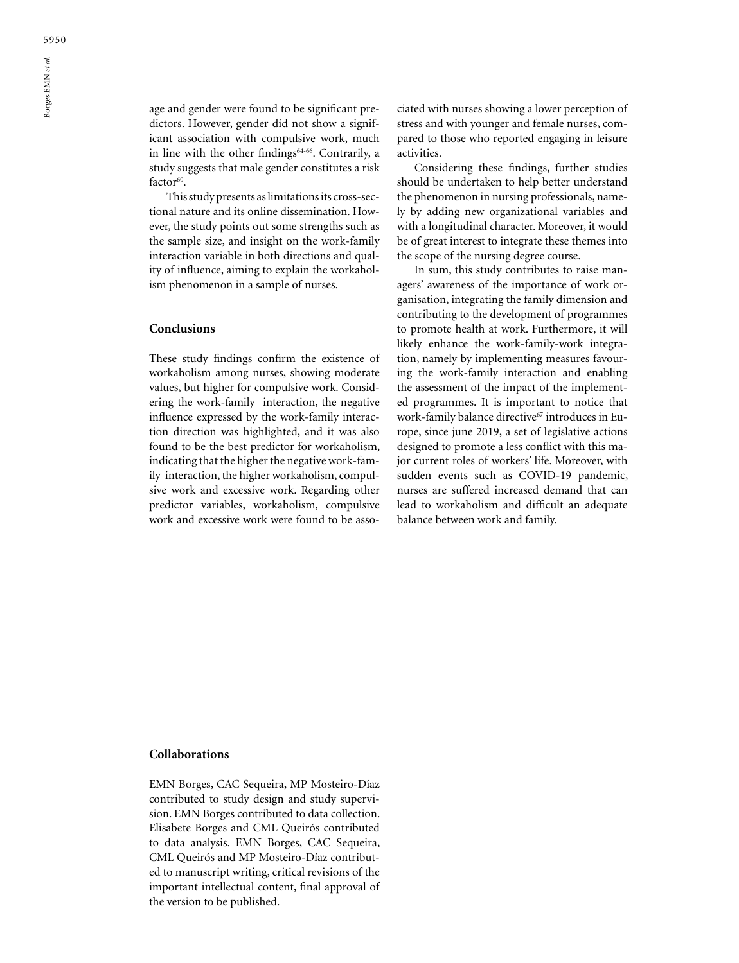age and gender were found to be significant predictors. However, gender did not show a significant association with compulsive work, much in line with the other findings<sup>64-66</sup>. Contrarily, a study suggests that male gender constitutes a risk factor<sup>60</sup>.

This study presents as limitations its cross-sectional nature and its online dissemination. However, the study points out some strengths such as the sample size, and insight on the work-family interaction variable in both directions and quality of influence, aiming to explain the workaholism phenomenon in a sample of nurses.

## **Conclusions**

These study findings confirm the existence of workaholism among nurses, showing moderate values, but higher for compulsive work. Considering the work-family interaction, the negative influence expressed by the work-family interaction direction was highlighted, and it was also found to be the best predictor for workaholism, indicating that the higher the negative work-family interaction, the higher workaholism, compulsive work and excessive work. Regarding other predictor variables, workaholism, compulsive work and excessive work were found to be associated with nurses showing a lower perception of stress and with younger and female nurses, compared to those who reported engaging in leisure activities.

Considering these findings, further studies should be undertaken to help better understand the phenomenon in nursing professionals, namely by adding new organizational variables and with a longitudinal character. Moreover, it would be of great interest to integrate these themes into the scope of the nursing degree course.

In sum, this study contributes to raise managers' awareness of the importance of work organisation, integrating the family dimension and contributing to the development of programmes to promote health at work. Furthermore, it will likely enhance the work-family-work integration, namely by implementing measures favouring the work-family interaction and enabling the assessment of the impact of the implemented programmes. It is important to notice that work-family balance directive<sup>67</sup> introduces in Europe, since june 2019, a set of legislative actions designed to promote a less conflict with this major current roles of workers' life. Moreover, with sudden events such as COVID-19 pandemic, nurses are suffered increased demand that can lead to workaholism and difficult an adequate balance between work and family.

#### **Collaborations**

EMN Borges, CAC Sequeira, MP Mosteiro-Díaz contributed to study design and study supervision. EMN Borges contributed to data collection. Elisabete Borges and CML Queirós contributed to data analysis. EMN Borges, CAC Sequeira, CML Queirós and MP Mosteiro-Díaz contributed to manuscript writing, critical revisions of the important intellectual content, final approval of the version to be published.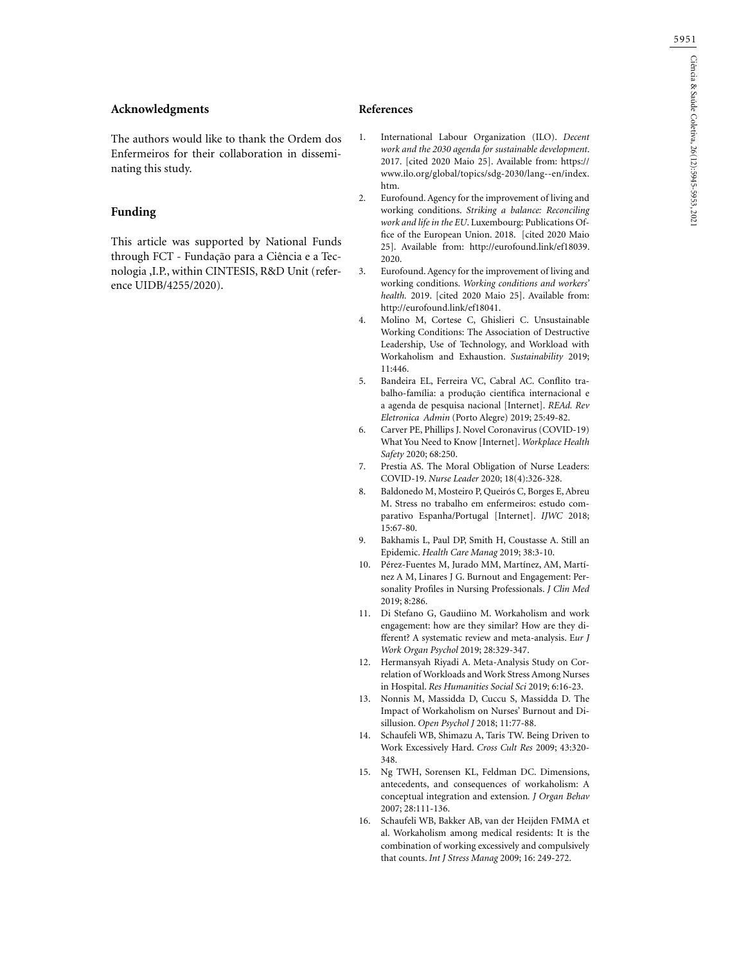## **Acknowledgments**

The authors would like to thank the Ordem dos Enfermeiros for their collaboration in disseminating this study.

## **Funding**

This article was supported by National Funds through FCT - Fundação para a Ciência e a Tecnologia ,I.P., within CINTESIS, R&D Unit (reference UIDB/4255/2020).

### **References**

- 1. International Labour Organization (ILO). *Decent work and the 2030 agenda for sustainable development*. 2017. [cited 2020 Maio 25]. Available from: https:// www.ilo.org/global/topics/sdg-2030/lang--en/index. htm.
- 2. Eurofound. Agency for the improvement of living and working conditions. *Striking a balance: Reconciling work and life in the EU*. Luxembourg: Publications Office of the European Union. 2018. [cited 2020 Maio 25]. Available from: http://eurofound.link/ef18039. 2020.
- 3. Eurofound. Agency for the improvement of living and working conditions. *Working conditions and workers' health.* 2019. [cited 2020 Maio 25]. Available from: http://eurofound.link/ef18041.
- 4. Molino M, Cortese C, Ghislieri C. Unsustainable Working Conditions: The Association of Destructive Leadership, Use of Technology, and Workload with Workaholism and Exhaustion. *Sustainability* 2019; 11:446.
- 5. Bandeira EL, Ferreira VC, Cabral AC. Conflito trabalho-família: a produção científica internacional e a agenda de pesquisa nacional [Internet]. *REAd. Rev Eletronica Admin* (Porto Alegre) 2019; 25:49-82.
- 6. Carver PE, Phillips J. Novel Coronavirus (COVID-19) What You Need to Know [Internet]. *Workplace Health Safety* 2020; 68:250.
- 7. Prestia AS. The Moral Obligation of Nurse Leaders: COVID-19. *Nurse Leader* 2020; 18(4):326-328.
- 8. Baldonedo M, Mosteiro P, Queirós C, Borges E, Abreu M. Stress no trabalho em enfermeiros: estudo comparativo Espanha/Portugal [Internet]. *IJWC* 2018; 15:67-80.
- 9. Bakhamis L, Paul DP, Smith H, Coustasse A. Still an Epidemic. *Health Care Manag* 2019; 38:3-10.
- 10. Pérez-Fuentes M, Jurado MM, Martínez, AM, Martínez A M, Linares J G. Burnout and Engagement: Personality Profiles in Nursing Professionals. *J Clin Med* 2019; 8:286.
- 11. Di Stefano G, Gaudiino M. Workaholism and work engagement: how are they similar? How are they different? A systematic review and meta-analysis. E*ur J Work Organ Psychol* 2019; 28:329-347.
- 12. Hermansyah Riyadi A. Meta-Analysis Study on Correlation of Workloads and Work Stress Among Nurses in Hospital. *Res Humanities Social Sci* 2019; 6:16-23.
- 13. Nonnis M, Massidda D, Cuccu S, Massidda D. The Impact of Workaholism on Nurses' Burnout and Disillusion. *Open Psychol J* 2018; 11:77-88.
- 14. Schaufeli WB, Shimazu A, Taris TW. Being Driven to Work Excessively Hard. *Cross Cult Res* 2009; 43:320- 348.
- 15. Ng TWH, Sorensen KL, Feldman DC. Dimensions, antecedents, and consequences of workaholism: A conceptual integration and extension*. J Organ Behav* 2007; 28:111-136.
- 16. Schaufeli WB, Bakker AB, van der Heijden FMMA et al. Workaholism among medical residents: It is the combination of working excessively and compulsively that counts. *Int J Stress Manag* 2009; 16: 249-272.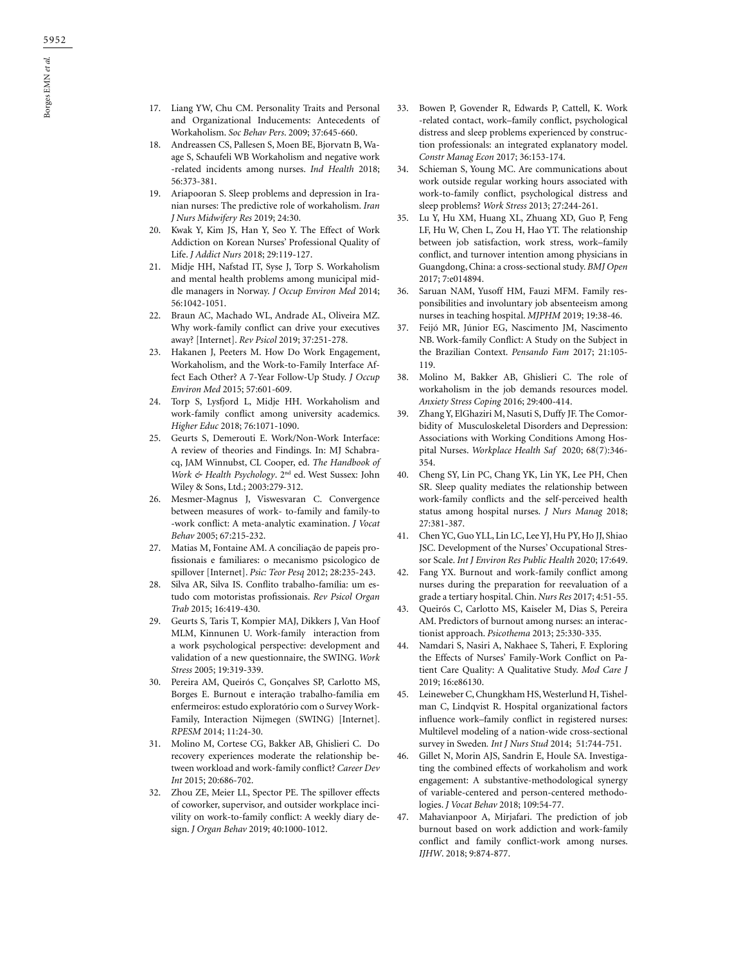- 
- 17. Liang YW, Chu CM. Personality Traits and Personal and Organizational Inducements: Antecedents of Workaholism. *Soc Behav Pers*. 2009; 37:645-660.
- 18. Andreassen CS, Pallesen S, Moen BE, Bjorvatn B, Waage S, Schaufeli WB Workaholism and negative work -related incidents among nurses. *Ind Health* 2018; 56:373-381.
- 19. Ariapooran S. Sleep problems and depression in Iranian nurses: The predictive role of workaholism. *Iran J Nurs Midwifery Res* 2019; 24:30.
- 20. Kwak Y, Kim JS, Han Y, Seo Y. The Effect of Work Addiction on Korean Nurses' Professional Quality of Life. *J Addict Nurs* 2018; 29:119-127.
- 21. Midje HH, Nafstad IT, Syse J, Torp S. Workaholism and mental health problems among municipal middle managers in Norway. *J Occup Environ Med* 2014; 56:1042-1051.
- 22. Braun AC, Machado WL, Andrade AL, Oliveira MZ. Why work-family conflict can drive your executives away? [Internet]. *Rev Psicol* 2019; 37:251-278.
- 23. Hakanen J, Peeters M. How Do Work Engagement, Workaholism, and the Work-to-Family Interface Affect Each Other? A 7-Year Follow-Up Study. *J Occup Environ Med* 2015; 57:601-609.
- 24. Torp S, Lysfjord L, Midje HH. Workaholism and work-family conflict among university academics. *Higher Educ* 2018; 76:1071-1090.
- 25. Geurts S, Demerouti E. Work/Non-Work Interface: A review of theories and Findings. In: MJ Schabracq, JAM Winnubst, CL Cooper, ed. *The Handbook of Work & Health Psychology*. 2nd ed. West Sussex: John Wiley & Sons, Ltd.; 2003:279-312.
- 26. Mesmer-Magnus J, Viswesvaran C. Convergence between measures of work- to-family and family-to -work conflict: A meta-analytic examination. *J Vocat Behav* 2005; 67:215-232.
- 27. Matias M, Fontaine AM. A conciliação de papeis profissionais e familiares: o mecanismo psicologico de spillover [Internet]. *Psic: Teor Pesq* 2012; 28:235-243.
- 28. Silva AR, Silva IS. Conflito trabalho-família: um estudo com motoristas profissionais. *Rev Psicol Organ Trab* 2015; 16:419-430.
- 29. Geurts S, Taris T, Kompier MAJ, Dikkers J, Van Hoof MLM, Kinnunen U. Work-family interaction from a work psychological perspective: development and validation of a new questionnaire, the SWING. *Work Stress* 2005; 19:319-339.
- 30. Pereira AM, Queirós C, Gonçalves SP, Carlotto MS, Borges E. Burnout e interação trabalho-família em enfermeiros: estudo exploratório com o Survey Work-Family, Interaction Nijmegen (SWING) [Internet]. *RPESM* 2014; 11:24-30.
- 31. Molino M, Cortese CG, Bakker AB, Ghislieri C. Do recovery experiences moderate the relationship between workload and work-family conflict? *Career Dev Int* 2015; 20:686-702.
- 32. Zhou ZE, Meier LL, Spector PE. The spillover effects of coworker, supervisor, and outsider workplace incivility on work-to-family conflict: A weekly diary design. *J Organ Behav* 2019; 40:1000-1012.
- 33. Bowen P, Govender R, Edwards P, Cattell, K. Work -related contact, work–family conflict, psychological distress and sleep problems experienced by construction professionals: an integrated explanatory model. *Constr Manag Econ* 2017; 36:153-174.
- 34. Schieman S, Young MC. Are communications about work outside regular working hours associated with work-to-family conflict, psychological distress and sleep problems? *Work Stress* 2013; 27:244-261.
- 35. Lu Y, Hu XM, Huang XL, Zhuang XD, Guo P, Feng LF, Hu W, Chen L, Zou H, Hao YT. The relationship between job satisfaction, work stress, work–family conflict, and turnover intention among physicians in Guangdong, China: a cross-sectional study. *BMJ Open* 2017; 7:e014894.
- 36. Saruan NAM, Yusoff HM, Fauzi MFM. Family responsibilities and involuntary job absenteeism among nurses in teaching hospital. *MJPHM* 2019; 19:38-46.
- 37. Feijó MR, Júnior EG, Nascimento JM, Nascimento NB. Work-family Conflict: A Study on the Subject in the Brazilian Context. *Pensando Fam* 2017; 21:105- 119.
- 38. Molino M, Bakker AB, Ghislieri C. The role of workaholism in the job demands resources model. *Anxiety Stress Coping* 2016; 29:400-414.
- 39. Zhang Y, ElGhaziri M, Nasuti S, Duffy JF. The Comorbidity of Musculoskeletal Disorders and Depression: Associations with Working Conditions Among Hospital Nurses. *Workplace Health Saf* 2020; 68(7):346- 354.
- 40. Cheng SY, Lin PC, Chang YK, Lin YK, Lee PH, Chen SR. Sleep quality mediates the relationship between work-family conflicts and the self-perceived health status among hospital nurses. *J Nurs Manag* 2018; 27:381-387.
- 41. Chen YC, Guo YLL, Lin LC, Lee YJ, Hu PY, Ho JJ, Shiao JSC. Development of the Nurses' Occupational Stressor Scale. *Int J Environ Res Public Health* 2020; 17:649.
- 42. Fang YX. Burnout and work-family conflict among nurses during the preparation for reevaluation of a grade a tertiary hospital. Chin. *Nurs Res* 2017; 4:51-55.
- 43. Queirós C, Carlotto MS, Kaiseler M, Dias S, Pereira AM. Predictors of burnout among nurses: an interactionist approach. *Psicothema* 2013; 25:330-335.
- 44. Namdari S, Nasiri A, Nakhaee S, Taheri, F. Exploring the Effects of Nurses' Family-Work Conflict on Patient Care Quality: A Qualitative Study. *Mod Care J* 2019; 16:e86130.
- 45. Leineweber C, Chungkham HS, Westerlund H, Tishelman C, Lindqvist R. Hospital organizational factors influence work–family conflict in registered nurses: Multilevel modeling of a nation-wide cross-sectional survey in Sweden*. Int J Nurs Stud* 2014; 51:744-751.
- 46. Gillet N, Morin AJS, Sandrin E, Houle SA. Investigating the combined effects of workaholism and work engagement: A substantive-methodological synergy of variable-centered and person-centered methodologies. *J Vocat Behav* 2018; 109:54-77.
- 47. Mahavianpoor A, Mirjafari. The prediction of job burnout based on work addiction and work-family conflict and family conflict-work among nurses. *IJHW*. 2018; 9:874-877.

Borges EMN *et al.*

Borges EMN et al.